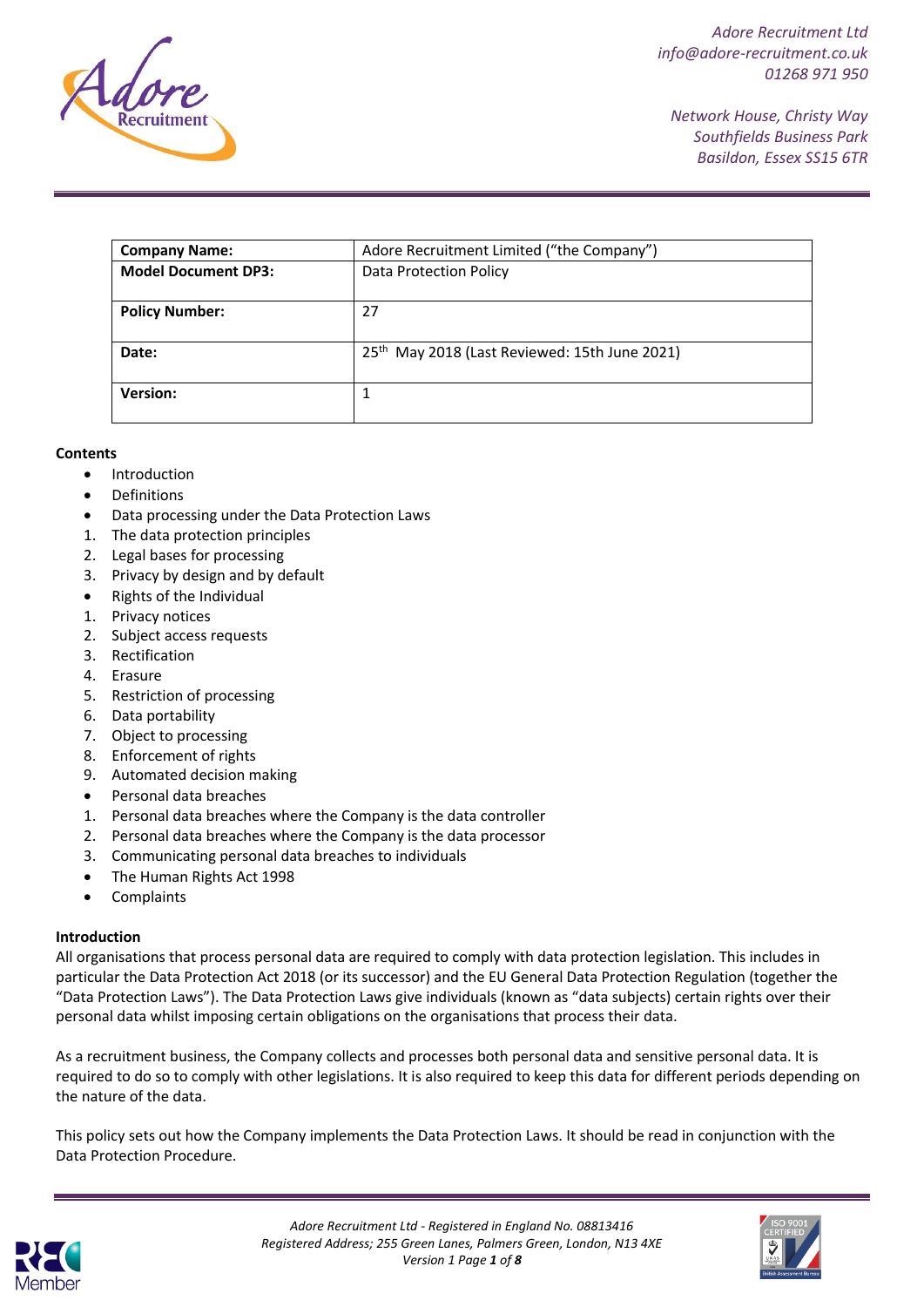

*Network House, Christy Way Southfields Business Park Basildon, Essex SS15 6TR*

| <b>Company Name:</b>       | Adore Recruitment Limited ("the Company")                 |
|----------------------------|-----------------------------------------------------------|
| <b>Model Document DP3:</b> | Data Protection Policy                                    |
| <b>Policy Number:</b>      | 27                                                        |
|                            |                                                           |
| Date:                      | 25 <sup>th</sup> May 2018 (Last Reviewed: 15th June 2021) |
| <b>Version:</b>            |                                                           |

# **Contents**

- Introduction
- Definitions
- Data processing under the Data Protection Laws
- 1. The data protection principles
- 2. Legal bases for processing
- 3. Privacy by design and by default
- Rights of the Individual
- 1. Privacy notices
- 2. Subject access requests
- 3. Rectification
- 4. Erasure
- 5. Restriction of processing
- 6. Data portability
- 7. Object to processing
- 8. Enforcement of rights
- 9. Automated decision making
- Personal data breaches
- 1. Personal data breaches where the Company is the data controller
- 2. Personal data breaches where the Company is the data processor
- 3. Communicating personal data breaches to individuals
- The Human Rights Act 1998
- Complaints

### **Introduction**

All organisations that process personal data are required to comply with data protection legislation. This includes in particular the Data Protection Act 2018 (or its successor) and the EU General Data Protection Regulation (together the "Data Protection Laws"). The Data Protection Laws give individuals (known as "data subjects) certain rights over their personal data whilst imposing certain obligations on the organisations that process their data.

As a recruitment business, the Company collects and processes both personal data and sensitive personal data. It is required to do so to comply with other legislations. It is also required to keep this data for different periods depending on the nature of the data.

This policy sets out how the Company implements the Data Protection Laws. It should be read in conjunction with the Data Protection Procedure.



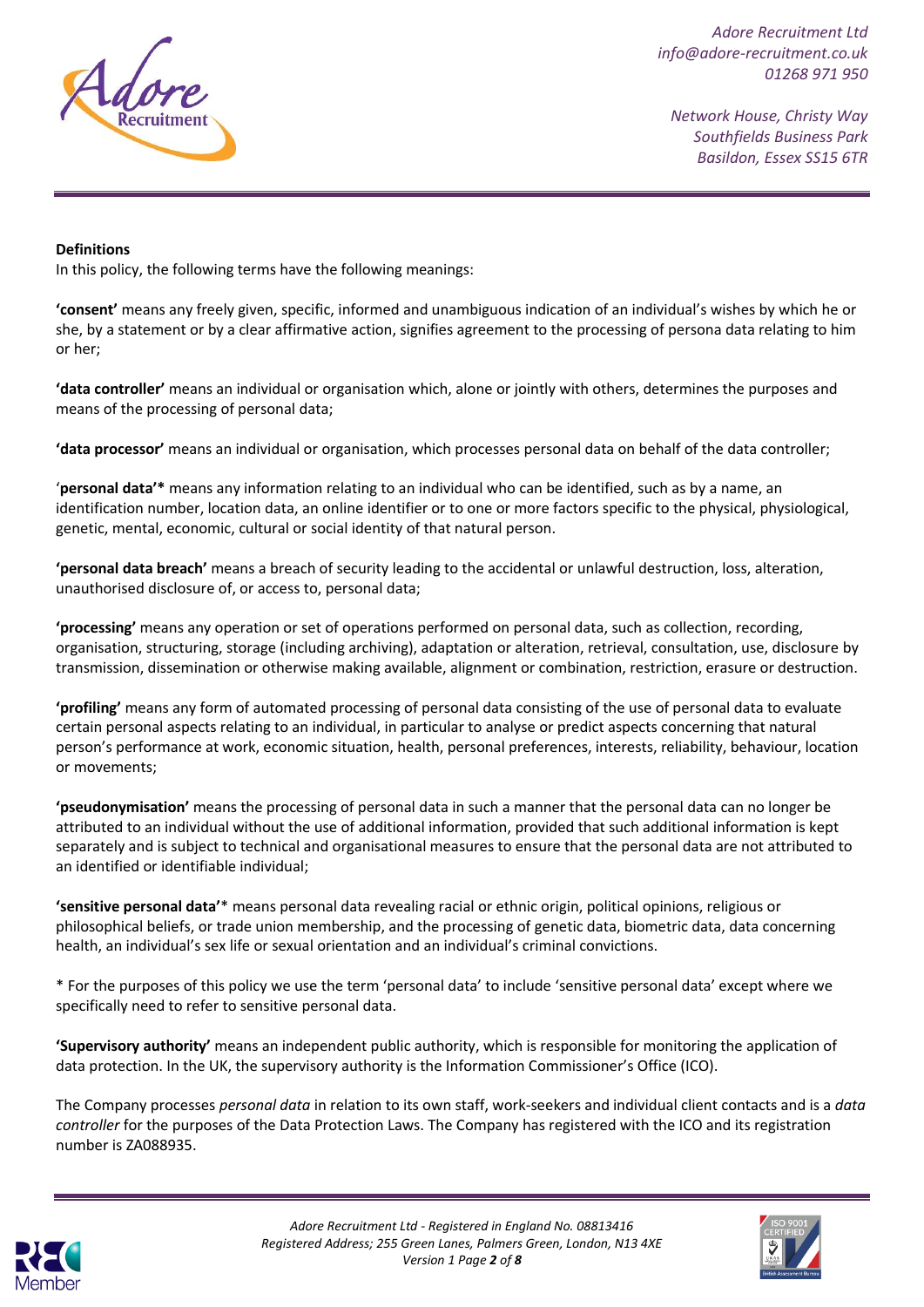

*Network House, Christy Way Southfields Business Park Basildon, Essex SS15 6TR*

### **Definitions**

In this policy, the following terms have the following meanings:

**'consent'** means any freely given, specific, informed and unambiguous indication of an individual's wishes by which he or she, by a statement or by a clear affirmative action, signifies agreement to the processing of persona data relating to him or her;

**'data controller'** means an individual or organisation which, alone or jointly with others, determines the purposes and means of the processing of personal data;

**'data processor'** means an individual or organisation, which processes personal data on behalf of the data controller;

'**personal data'\*** means any information relating to an individual who can be identified, such as by a name, an identification number, location data, an online identifier or to one or more factors specific to the physical, physiological, genetic, mental, economic, cultural or social identity of that natural person.

**'personal data breach'** means a breach of security leading to the accidental or unlawful destruction, loss, alteration, unauthorised disclosure of, or access to, personal data;

**'processing'** means any operation or set of operations performed on personal data, such as collection, recording, organisation, structuring, storage (including archiving), adaptation or alteration, retrieval, consultation, use, disclosure by transmission, dissemination or otherwise making available, alignment or combination, restriction, erasure or destruction.

**'profiling'** means any form of automated processing of personal data consisting of the use of personal data to evaluate certain personal aspects relating to an individual, in particular to analyse or predict aspects concerning that natural person's performance at work, economic situation, health, personal preferences, interests, reliability, behaviour, location or movements;

**'pseudonymisation'** means the processing of personal data in such a manner that the personal data can no longer be attributed to an individual without the use of additional information, provided that such additional information is kept separately and is subject to technical and organisational measures to ensure that the personal data are not attributed to an identified or identifiable individual;

**'sensitive personal data'**\* means personal data revealing racial or ethnic origin, political opinions, religious or philosophical beliefs, or trade union membership, and the processing of genetic data, biometric data, data concerning health, an individual's sex life or sexual orientation and an individual's criminal convictions.

\* For the purposes of this policy we use the term 'personal data' to include 'sensitive personal data' except where we specifically need to refer to sensitive personal data.

**'Supervisory authority'** means an independent public authority, which is responsible for monitoring the application of data protection. In the UK, the supervisory authority is the Information Commissioner's Office (ICO).

The Company processes *personal data* in relation to its own staff, work-seekers and individual client contacts and is a *data controller* for the purposes of the Data Protection Laws. The Company has registered with the ICO and its registration number is ZA088935.



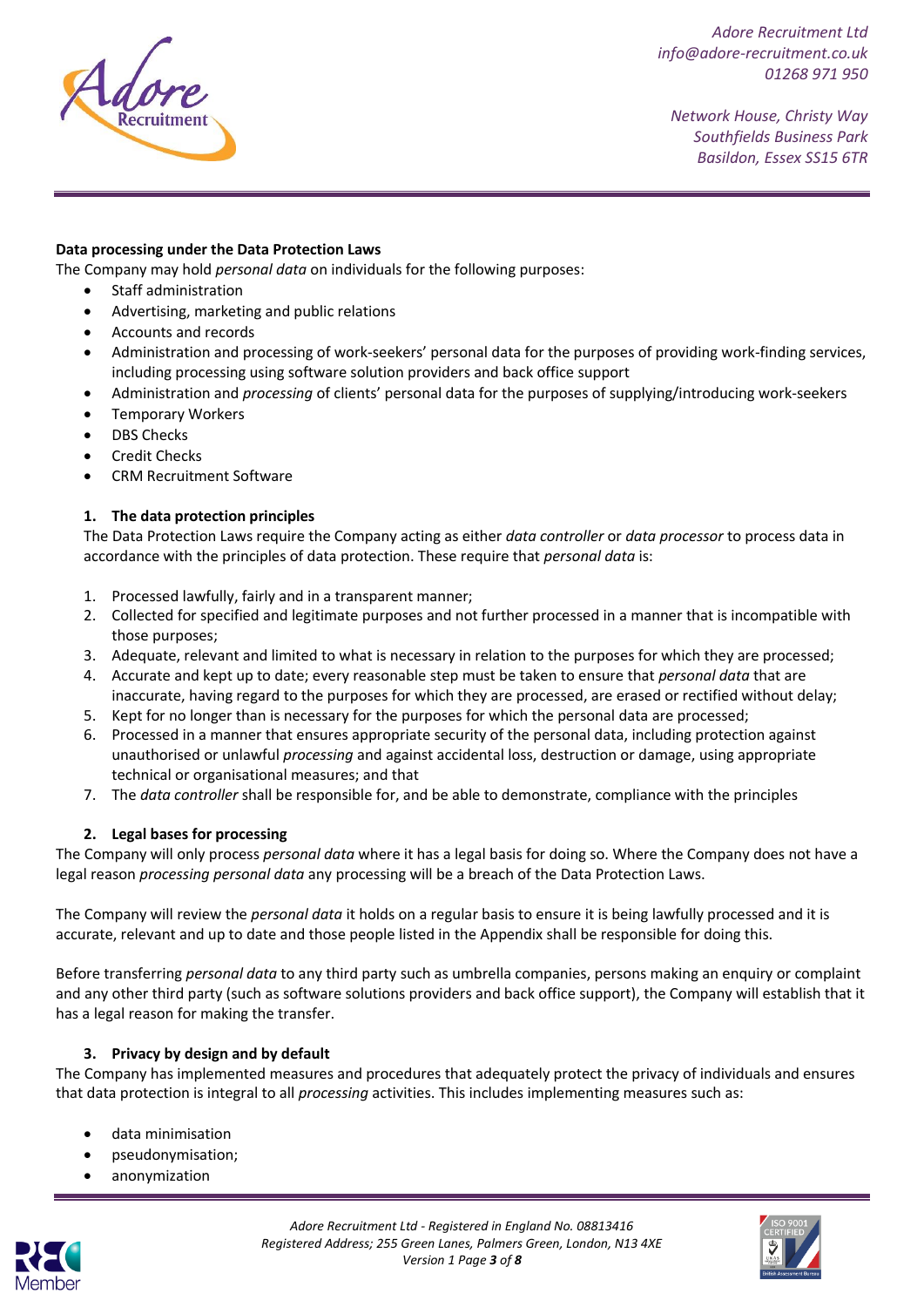

*Network House, Christy Way Southfields Business Park Basildon, Essex SS15 6TR*

### **Data processing under the Data Protection Laws**

The Company may hold *personal data* on individuals for the following purposes:

- Staff administration
- Advertising, marketing and public relations
- Accounts and records
- Administration and processing of work-seekers' personal data for the purposes of providing work-finding services, including processing using software solution providers and back office support
- Administration and *processing* of clients' personal data for the purposes of supplying/introducing work-seekers
- Temporary Workers
- DBS Checks
- Credit Checks
- CRM Recruitment Software

# **1. The data protection principles**

The Data Protection Laws require the Company acting as either *data controller* or *data processor* to process data in accordance with the principles of data protection. These require that *personal data* is:

- 1. Processed lawfully, fairly and in a transparent manner;
- 2. Collected for specified and legitimate purposes and not further processed in a manner that is incompatible with those purposes;
- 3. Adequate, relevant and limited to what is necessary in relation to the purposes for which they are processed;
- 4. Accurate and kept up to date; every reasonable step must be taken to ensure that *personal data* that are inaccurate, having regard to the purposes for which they are processed, are erased or rectified without delay;
- 5. Kept for no longer than is necessary for the purposes for which the personal data are processed;
- 6. Processed in a manner that ensures appropriate security of the personal data, including protection against unauthorised or unlawful *processing* and against accidental loss, destruction or damage, using appropriate technical or organisational measures; and that
- 7. The *data controller* shall be responsible for, and be able to demonstrate, compliance with the principles

### **2. Legal bases for processing**

The Company will only process *personal data* where it has a legal basis for doing so. Where the Company does not have a legal reason *processing personal data* any processing will be a breach of the Data Protection Laws.

The Company will review the *personal data* it holds on a regular basis to ensure it is being lawfully processed and it is accurate, relevant and up to date and those people listed in the Appendix shall be responsible for doing this.

Before transferring *personal data* to any third party such as umbrella companies, persons making an enquiry or complaint and any other third party (such as software solutions providers and back office support), the Company will establish that it has a legal reason for making the transfer.

### **3. Privacy by design and by default**

The Company has implemented measures and procedures that adequately protect the privacy of individuals and ensures that data protection is integral to all *processing* activities. This includes implementing measures such as:

- data minimisation
- pseudonymisation;
- anonymization





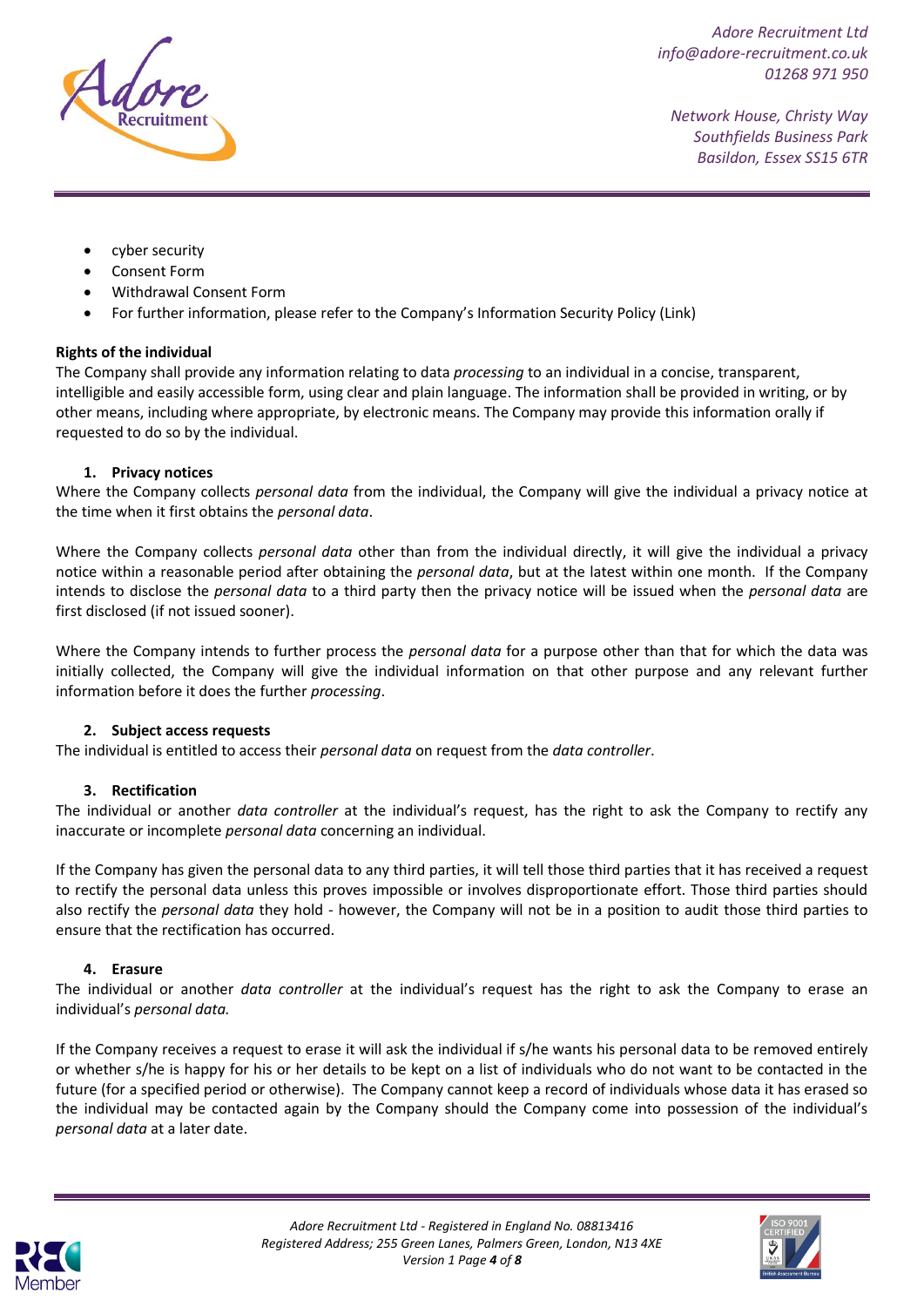

*Network House, Christy Way Southfields Business Park Basildon, Essex SS15 6TR*

- cyber security
- Consent Form
- Withdrawal Consent Form
- For further information, please refer to the Company's Information Security Policy [\(Link\)](file://///adoserver01/Management/Company%20Policies/Company%20Policy%203%20-%20Information%20Security%20&%20Data%20Protection.pdf)

### **Rights of the individual**

The Company shall provide any information relating to data *processing* to an individual in a concise, transparent, intelligible and easily accessible form, using clear and plain language. The information shall be provided in writing, or by other means, including where appropriate, by electronic means. The Company may provide this information orally if requested to do so by the individual.

### **1. Privacy notices**

Where the Company collects *personal data* from the individual, the Company will give the individual a privacy notice at the time when it first obtains the *personal data*.

Where the Company collects *personal data* other than from the individual directly, it will give the individual a privacy notice within a reasonable period after obtaining the *personal data*, but at the latest within one month. If the Company intends to disclose the *personal data* to a third party then the privacy notice will be issued when the *personal data* are first disclosed (if not issued sooner).

Where the Company intends to further process the *personal data* for a purpose other than that for which the data was initially collected, the Company will give the individual information on that other purpose and any relevant further information before it does the further *processing*.

### **2. Subject access requests**

The individual is entitled to access their *personal data* on request from the *data controller*.

### **3. Rectification**

The individual or another *data controller* at the individual's request, has the right to ask the Company to rectify any inaccurate or incomplete *personal data* concerning an individual.

If the Company has given the personal data to any third parties, it will tell those third parties that it has received a request to rectify the personal data unless this proves impossible or involves disproportionate effort. Those third parties should also rectify the *personal data* they hold - however, the Company will not be in a position to audit those third parties to ensure that the rectification has occurred.

### **4. Erasure**

The individual or another *data controller* at the individual's request has the right to ask the Company to erase an individual's *personal data.*

If the Company receives a request to erase it will ask the individual if s/he wants his personal data to be removed entirely or whether s/he is happy for his or her details to be kept on a list of individuals who do not want to be contacted in the future (for a specified period or otherwise). The Company cannot keep a record of individuals whose data it has erased so the individual may be contacted again by the Company should the Company come into possession of the individual's *personal data* at a later date.



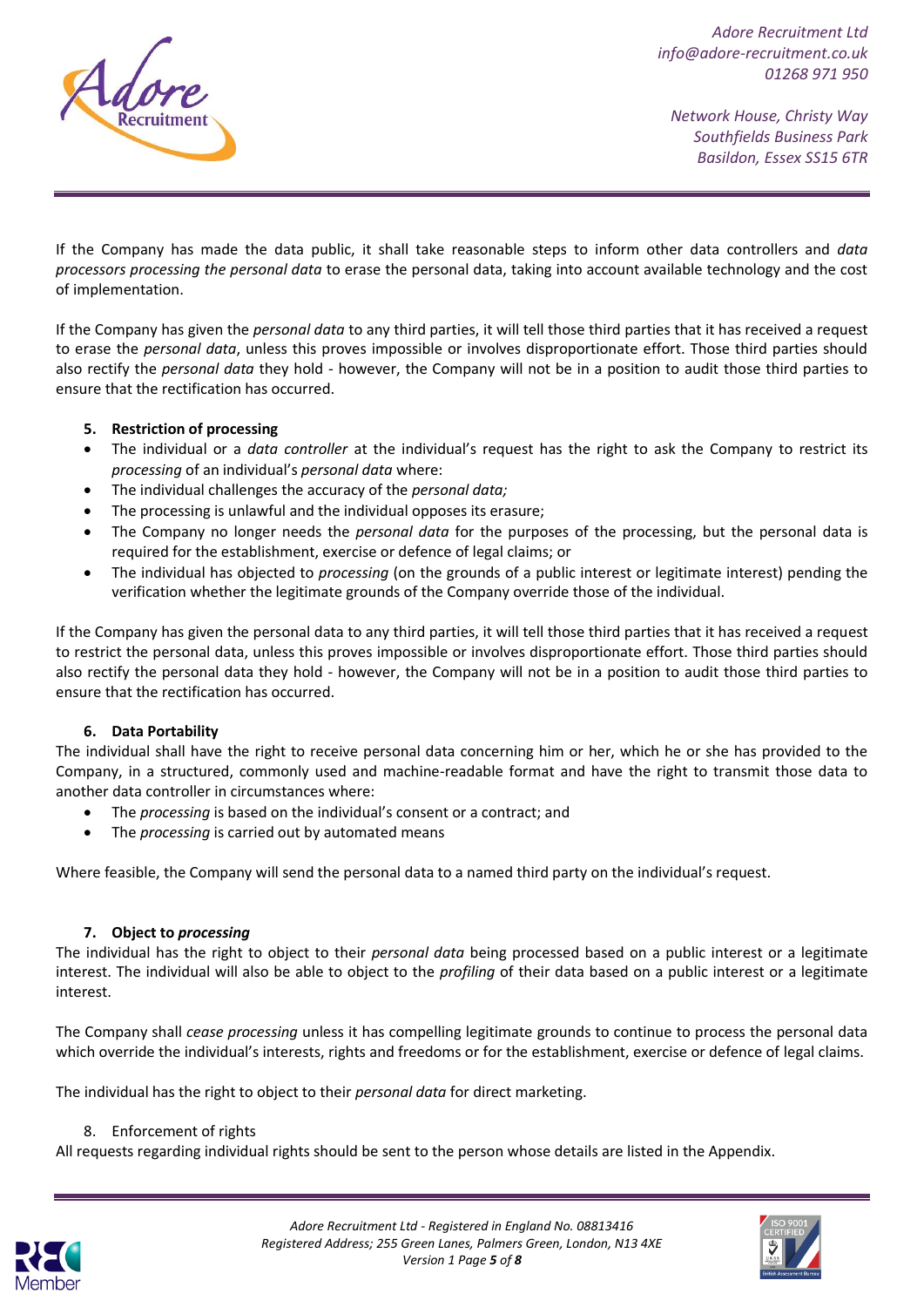

*Network House, Christy Way Southfields Business Park Basildon, Essex SS15 6TR*

If the Company has made the data public, it shall take reasonable steps to inform other data controllers and *data processors processing the personal data* to erase the personal data, taking into account available technology and the cost of implementation.

If the Company has given the *personal data* to any third parties, it will tell those third parties that it has received a request to erase the *personal data*, unless this proves impossible or involves disproportionate effort. Those third parties should also rectify the *personal data* they hold - however, the Company will not be in a position to audit those third parties to ensure that the rectification has occurred.

# **5. Restriction of processing**

- The individual or a *data controller* at the individual's request has the right to ask the Company to restrict its *processing* of an individual's *personal data* where:
- The individual challenges the accuracy of the *personal data;*
- The processing is unlawful and the individual opposes its erasure;
- The Company no longer needs the *personal data* for the purposes of the processing, but the personal data is required for the establishment, exercise or defence of legal claims; or
- The individual has objected to *processing* (on the grounds of a public interest or legitimate interest) pending the verification whether the legitimate grounds of the Company override those of the individual.

If the Company has given the personal data to any third parties, it will tell those third parties that it has received a request to restrict the personal data, unless this proves impossible or involves disproportionate effort. Those third parties should also rectify the personal data they hold - however, the Company will not be in a position to audit those third parties to ensure that the rectification has occurred.

### **6. Data Portability**

The individual shall have the right to receive personal data concerning him or her, which he or she has provided to the Company, in a structured, commonly used and machine-readable format and have the right to transmit those data to another data controller in circumstances where:

- The *processing* is based on the individual's consent or a contract; and
- The *processing* is carried out by automated means

Where feasible, the Company will send the personal data to a named third party on the individual's request.

### **7. Object to** *processing*

The individual has the right to object to their *personal data* being processed based on a public interest or a legitimate interest. The individual will also be able to object to the *profiling* of their data based on a public interest or a legitimate interest.

The Company shall *cease processing* unless it has compelling legitimate grounds to continue to process the personal data which override the individual's interests, rights and freedoms or for the establishment, exercise or defence of legal claims.

The individual has the right to object to their *personal data* for direct marketing.

8. Enforcement of rights

All requests regarding individual rights should be sent to the person whose details are listed in the Appendix.



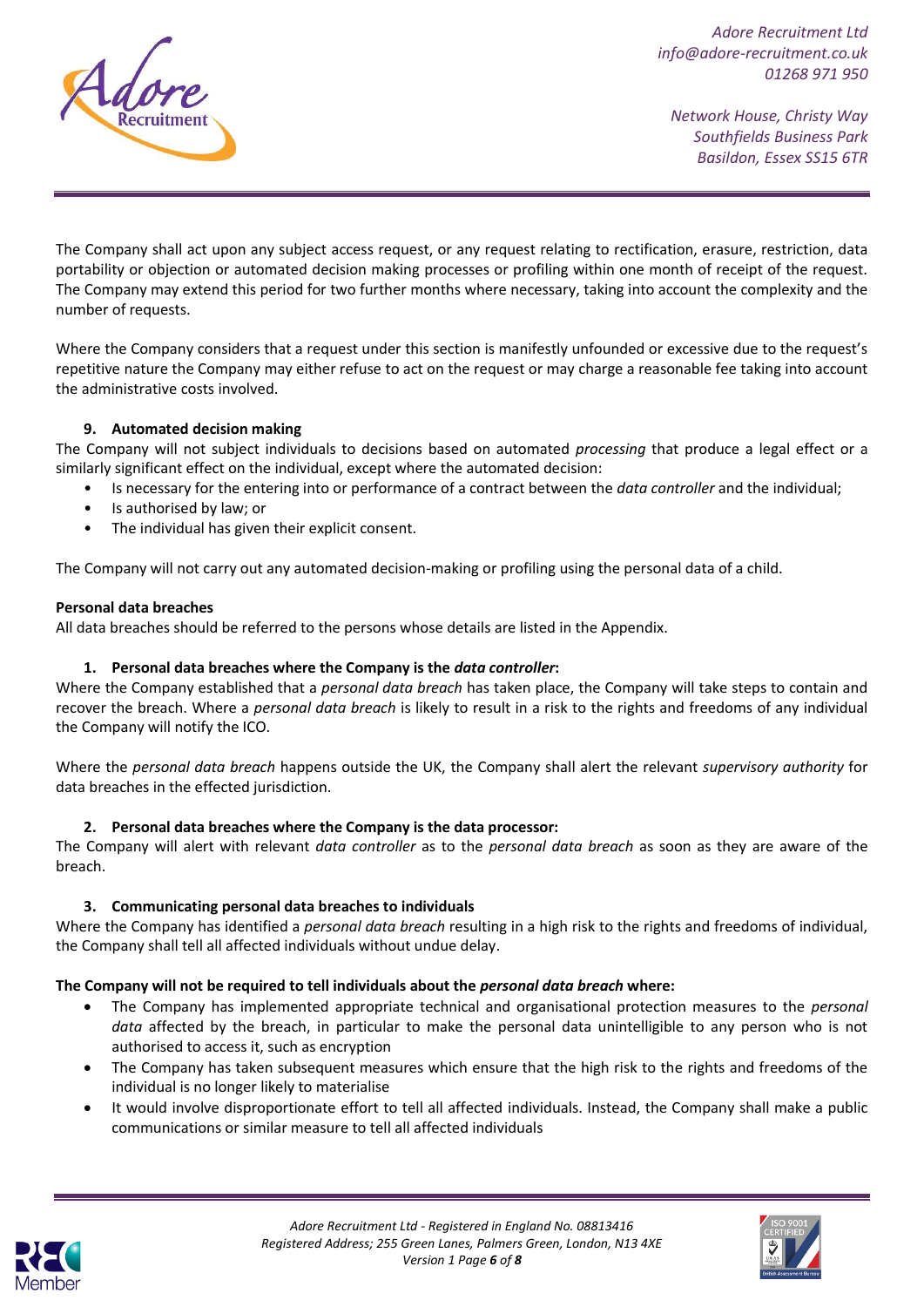

*Network House, Christy Way Southfields Business Park Basildon, Essex SS15 6TR*

The Company shall act upon any subject access request, or any request relating to rectification, erasure, restriction, data portability or objection or automated decision making processes or profiling within one month of receipt of the request. The Company may extend this period for two further months where necessary, taking into account the complexity and the number of requests.

Where the Company considers that a request under this section is manifestly unfounded or excessive due to the request's repetitive nature the Company may either refuse to act on the request or may charge a reasonable fee taking into account the administrative costs involved.

# **9. Automated decision making**

The Company will not subject individuals to decisions based on automated *processing* that produce a legal effect or a similarly significant effect on the individual, except where the automated decision:

- Is necessary for the entering into or performance of a contract between the *data controller* and the individual;
- Is authorised by law; or
- The individual has given their explicit consent.

The Company will not carry out any automated decision-making or profiling using the personal data of a child.

#### **Personal data breaches**

All data breaches should be referred to the persons whose details are listed in the Appendix.

### **1. Personal data breaches where the Company is the** *data controller***:**

Where the Company established that a *personal data breach* has taken place, the Company will take steps to contain and recover the breach. Where a *personal data breach* is likely to result in a risk to the rights and freedoms of any individual the Company will notify the ICO.

Where the *personal data breach* happens outside the UK, the Company shall alert the relevant *supervisory authority* for data breaches in the effected jurisdiction.

### **2. Personal data breaches where the Company is the data processor:**

The Company will alert with relevant *data controller* as to the *personal data breach* as soon as they are aware of the breach.

### **3. Communicating personal data breaches to individuals**

Where the Company has identified a *personal data breach* resulting in a high risk to the rights and freedoms of individual, the Company shall tell all affected individuals without undue delay.

### **The Company will not be required to tell individuals about the** *personal data breach* **where:**

- The Company has implemented appropriate technical and organisational protection measures to the *personal data* affected by the breach, in particular to make the personal data unintelligible to any person who is not authorised to access it, such as encryption
- The Company has taken subsequent measures which ensure that the high risk to the rights and freedoms of the individual is no longer likely to materialise
- It would involve disproportionate effort to tell all affected individuals. Instead, the Company shall make a public communications or similar measure to tell all affected individuals



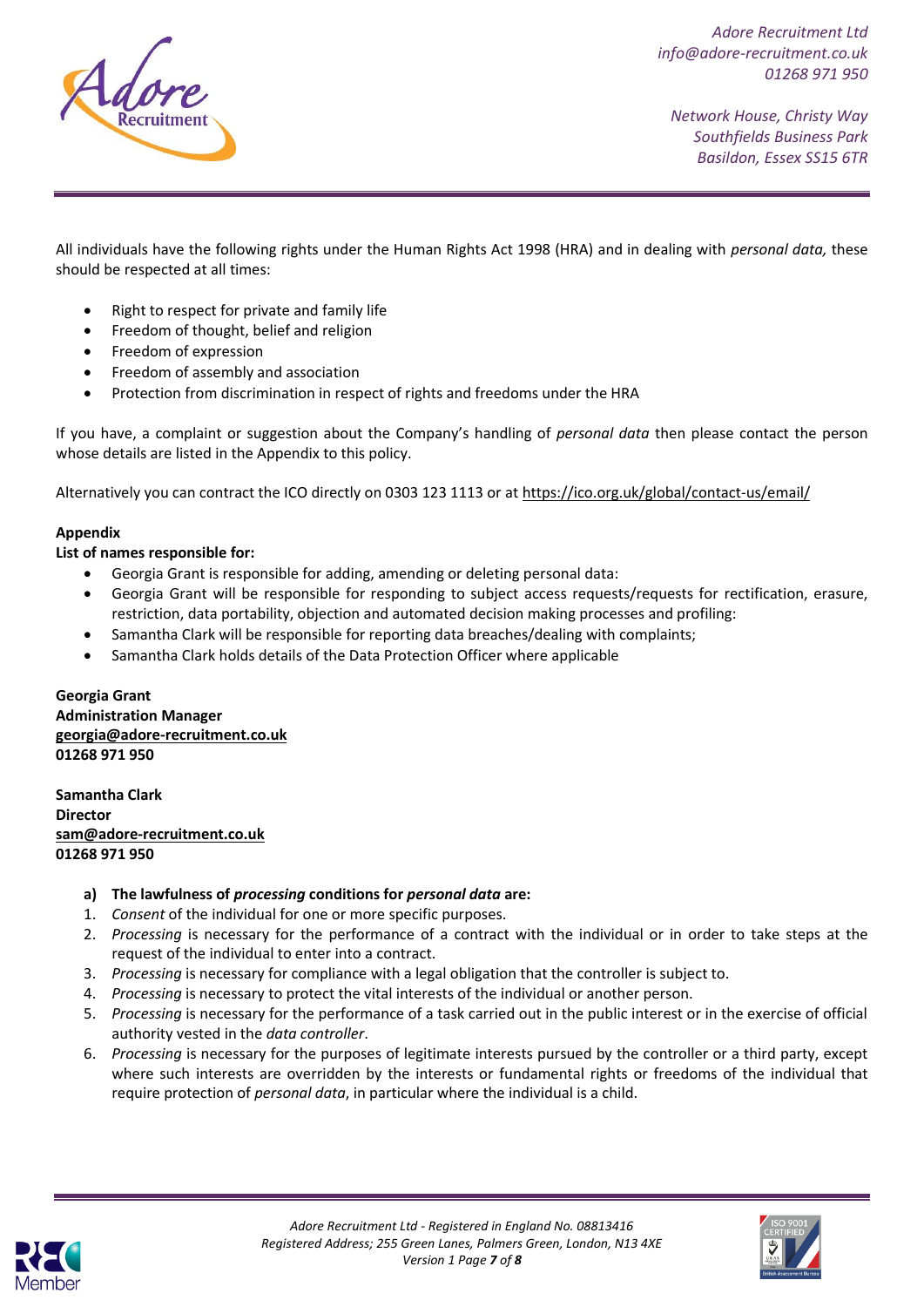

*Network House, Christy Way Southfields Business Park Basildon, Essex SS15 6TR*

All individuals have the following rights under the Human Rights Act 1998 (HRA) and in dealing with *personal data,* these should be respected at all times:

- Right to respect for private and family life
- Freedom of thought, belief and religion
- Freedom of expression
- Freedom of assembly and association
- Protection from discrimination in respect of rights and freedoms under the HRA

If you have, a complaint or suggestion about the Company's handling of *personal data* then please contact the person whose details are listed in the Appendix to this policy.

Alternatively you can contract the ICO directly on 0303 123 1113 or a[t https://ico.org.uk/global/contact-us/email/](https://ico.org.uk/global/contact-us/email/)

#### **Appendix**

**List of names responsible for:**

- Georgia Grant is responsible for adding, amending or deleting personal data:
- Georgia Grant will be responsible for responding to subject access requests/requests for rectification, erasure, restriction, data portability, objection and automated decision making processes and profiling:
- Samantha Clark will be responsible for reporting data breaches/dealing with complaints;
- Samantha Clark holds details of the Data Protection Officer where applicable

**Georgia Grant Administration Manager [georgia@adore-recruitment.co.uk](mailto:georgia@adore-recruitment.co.uk) 01268 971 950**

**Samantha Clark Director [sam@adore-recruitment.co.uk](mailto:sam@adore-recruitment.co.uk) 01268 971 950**

- **a) The lawfulness of** *processing* **conditions for** *personal data* **are:**
- 1. *Consent* of the individual for one or more specific purposes.
- 2. *Processing* is necessary for the performance of a contract with the individual or in order to take steps at the request of the individual to enter into a contract.
- 3. *Processing* is necessary for compliance with a legal obligation that the controller is subject to.
- 4. *Processing* is necessary to protect the vital interests of the individual or another person.
- 5. *Processing* is necessary for the performance of a task carried out in the public interest or in the exercise of official authority vested in the *data controller*.
- 6. *Processing* is necessary for the purposes of legitimate interests pursued by the controller or a third party, except where such interests are overridden by the interests or fundamental rights or freedoms of the individual that require protection of *personal data*, in particular where the individual is a child.